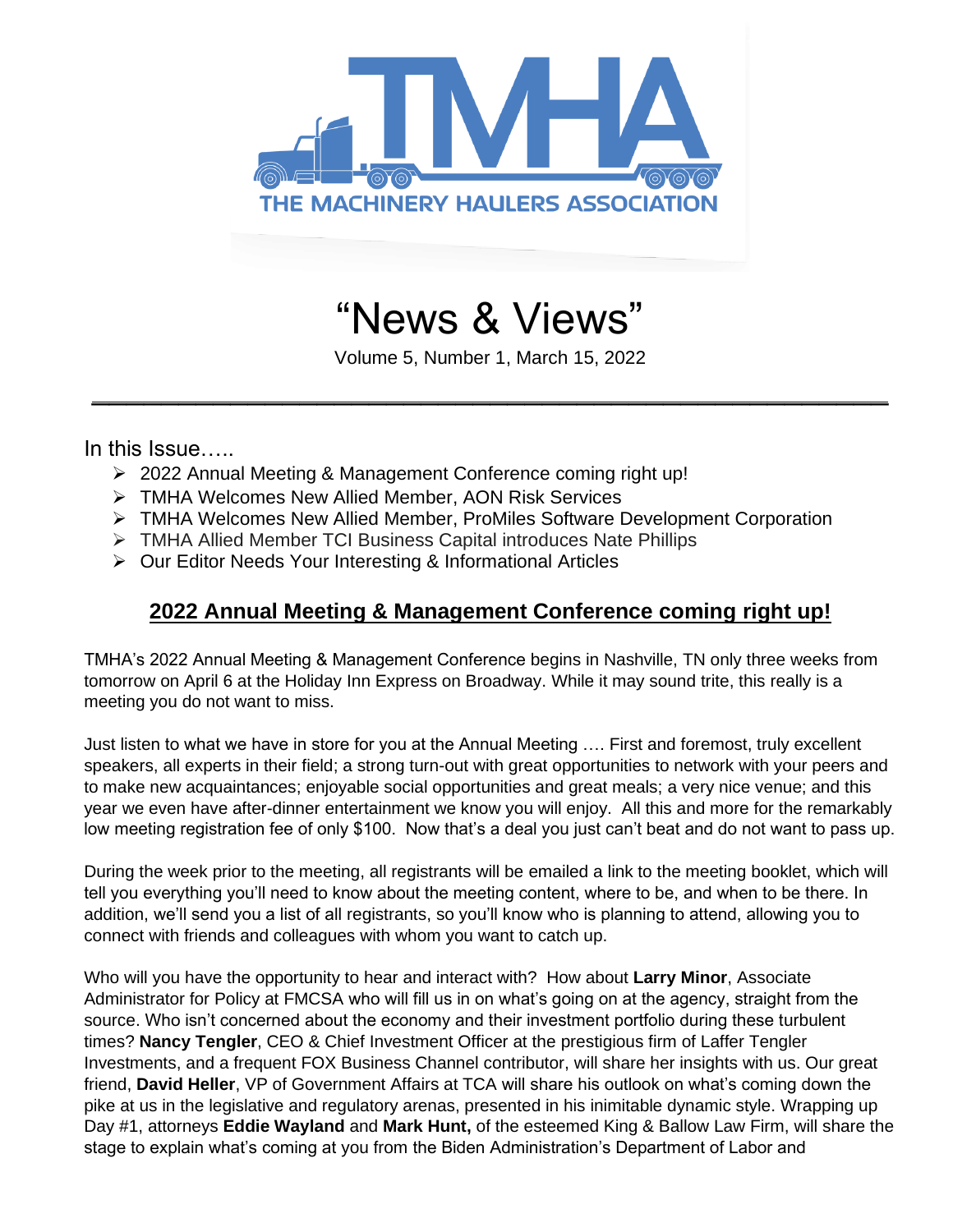

# "News & Views"

Volume 5, Number 1, March 15, 2022

 $\mathcal{L}_\text{max}$  and  $\mathcal{L}_\text{max}$  and  $\mathcal{L}_\text{max}$  and  $\mathcal{L}_\text{max}$  and  $\mathcal{L}_\text{max}$  and  $\mathcal{L}_\text{max}$ 

In this Issue…..

- ➢ 2022 Annual Meeting & Management Conference coming right up!
- ➢ TMHA Welcomes New Allied Member, AON Risk Services
- ➢ TMHA Welcomes New Allied Member, ProMiles Software Development Corporation
- ➢ TMHA Allied Member TCI Business Capital introduces Nate Phillips
- ➢ Our Editor Needs Your Interesting & Informational Articles

### **2022 Annual Meeting & Management Conference coming right up!**

TMHA's 2022 Annual Meeting & Management Conference begins in Nashville, TN only three weeks from tomorrow on April 6 at the Holiday Inn Express on Broadway. While it may sound trite, this really is a meeting you do not want to miss.

Just listen to what we have in store for you at the Annual Meeting …. First and foremost, truly excellent speakers, all experts in their field; a strong turn-out with great opportunities to network with your peers and to make new acquaintances; enjoyable social opportunities and great meals; a very nice venue; and this year we even have after-dinner entertainment we know you will enjoy. All this and more for the remarkably low meeting registration fee of only \$100. Now that's a deal you just can't beat and do not want to pass up.

During the week prior to the meeting, all registrants will be emailed a link to the meeting booklet, which will tell you everything you'll need to know about the meeting content, where to be, and when to be there. In addition, we'll send you a list of all registrants, so you'll know who is planning to attend, allowing you to connect with friends and colleagues with whom you want to catch up.

Who will you have the opportunity to hear and interact with? How about **Larry Minor**, Associate Administrator for Policy at FMCSA who will fill us in on what's going on at the agency, straight from the source. Who isn't concerned about the economy and their investment portfolio during these turbulent times? **Nancy Tengler**, CEO & Chief Investment Officer at the prestigious firm of Laffer Tengler Investments, and a frequent FOX Business Channel contributor, will share her insights with us. Our great friend, **David Heller**, VP of Government Affairs at TCA will share his outlook on what's coming down the pike at us in the legislative and regulatory arenas, presented in his inimitable dynamic style. Wrapping up Day #1, attorneys **Eddie Wayland** and **Mark Hunt,** of the esteemed King & Ballow Law Firm, will share the stage to explain what's coming at you from the Biden Administration's Department of Labor and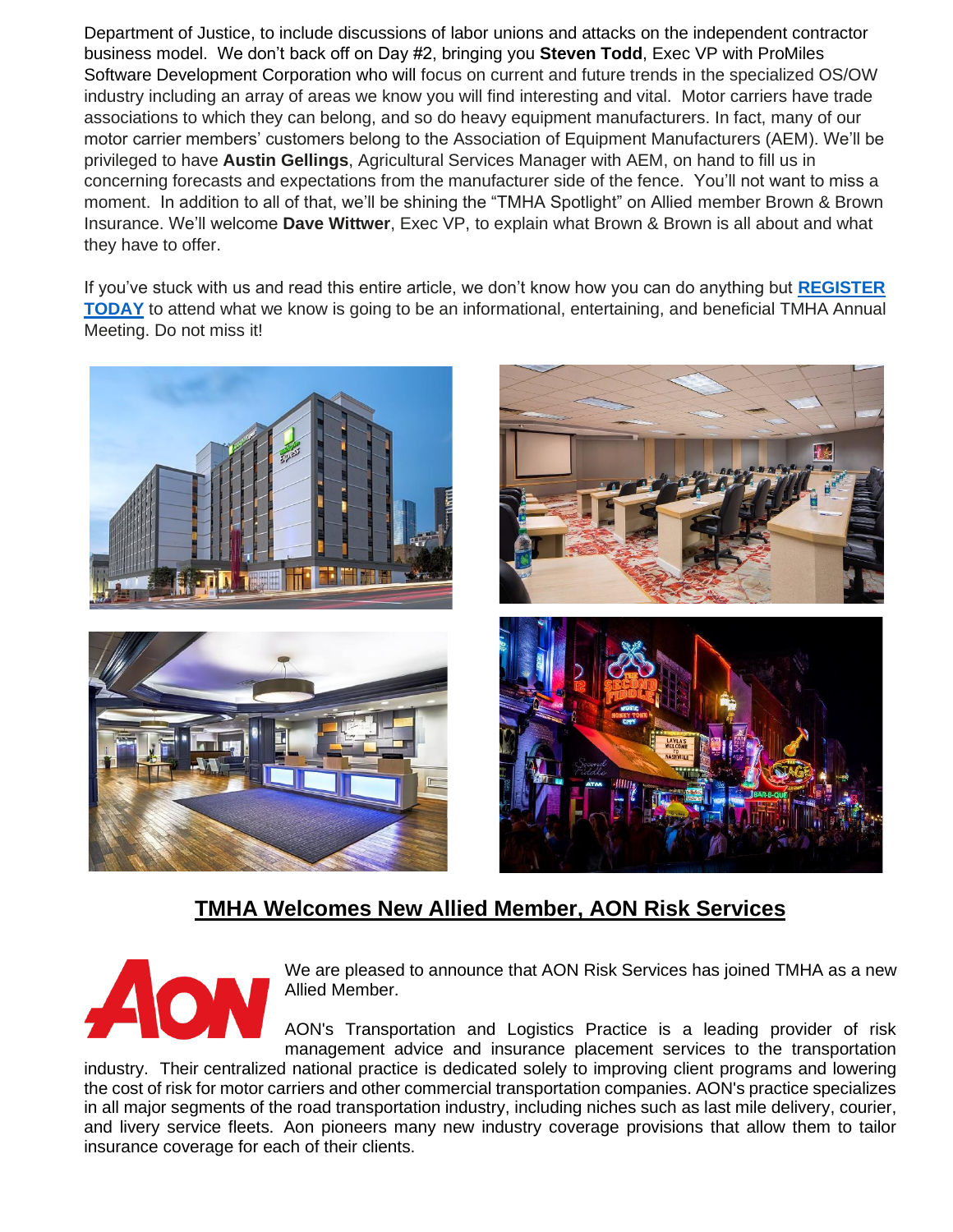Department of Justice, to include discussions of labor unions and attacks on the independent contractor business model. We don't back off on Day #2, bringing you **Steven Todd**, Exec VP with ProMiles Software Development Corporation who will focus on current and future trends in the specialized OS/OW industry including an array of areas we know you will find interesting and vital. Motor carriers have trade associations to which they can belong, and so do heavy equipment manufacturers. In fact, many of our motor carrier members' customers belong to the Association of Equipment Manufacturers (AEM). We'll be privileged to have **Austin Gellings**, Agricultural Services Manager with AEM, on hand to fill us in concerning forecasts and expectations from the manufacturer side of the fence. You'll not want to miss a moment. In addition to all of that, we'll be shining the "TMHA Spotlight" on Allied member Brown & Brown Insurance. We'll welcome **Dave Wittwer**, Exec VP, to explain what Brown & Brown is all about and what they have to offer.

If you've stuck with us and read this entire article, we don't know how you can do anything but **[REGISTER](https://www.machineryhaulers.org/upcoming-meetings/)  [TODAY](https://www.machineryhaulers.org/upcoming-meetings/)** to attend what we know is going to be an informational, entertaining, and beneficial TMHA Annual Meeting. Do not miss it!







## **TMHA Welcomes New Allied Member, AON Risk Services**



We are pleased to announce that AON Risk Services has joined TMHA as a new Allied Member.

AON's Transportation and Logistics Practice is a leading provider of risk management advice and insurance placement services to the transportation

industry. Their centralized national practice is dedicated solely to improving client programs and lowering the cost of risk for motor carriers and other commercial transportation companies. AON's practice specializes in all major segments of the road transportation industry, including niches such as last mile delivery, courier, and livery service fleets. Aon pioneers many new industry coverage provisions that allow them to tailor insurance coverage for each of their clients.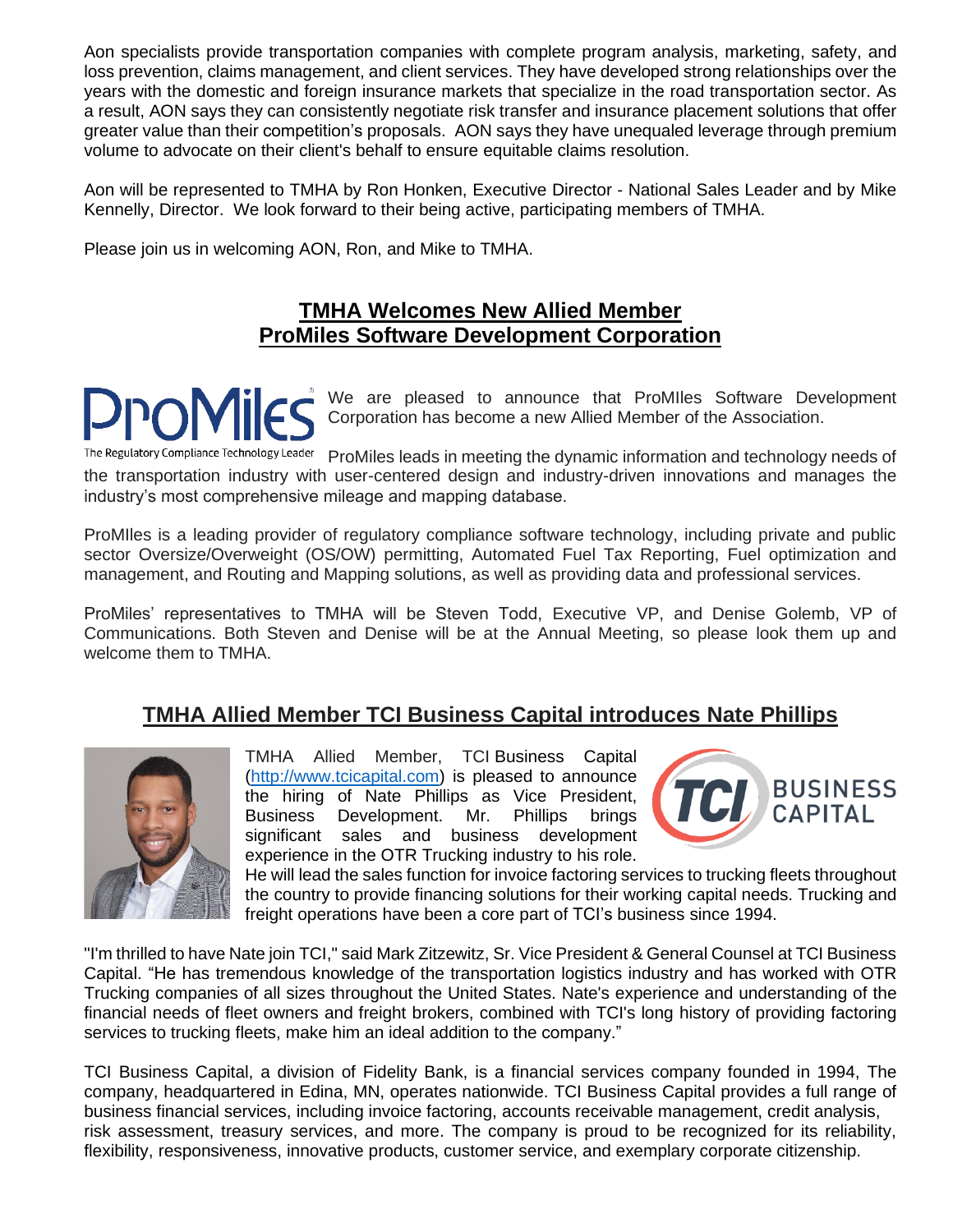Aon specialists provide transportation companies with complete program analysis, marketing, safety, and loss prevention, claims management, and client services. They have developed strong relationships over the years with the domestic and foreign insurance markets that specialize in the road transportation sector. As a result, AON says they can consistently negotiate risk transfer and insurance placement solutions that offer greater value than their competition's proposals. AON says they have unequaled leverage through premium volume to advocate on their client's behalf to ensure equitable claims resolution.

Aon will be represented to TMHA by Ron Honken, Executive Director - National Sales Leader and by Mike Kennelly, Director. We look forward to their being active, participating members of TMHA.

Please join us in welcoming AON, Ron, and Mike to TMHA.

#### **TMHA Welcomes New Allied Member ProMiles Software Development Corporation**

We are pleased to announce that ProMIles Software Development Corporation has become a new Allied Member of the Association.

The Regulatory Compliance Technology Leader ProMiles leads in meeting the dynamic information and technology needs of the transportation industry with user-centered design and industry-driven innovations and manages the industry's most comprehensive mileage and mapping database.

ProMIles is a leading provider of regulatory compliance software technology, including private and public sector Oversize/Overweight (OS/OW) permitting, Automated Fuel Tax Reporting, Fuel optimization and management, and Routing and Mapping solutions, as well as providing data and professional services.

ProMiles' representatives to TMHA will be Steven Todd, Executive VP, and Denise Golemb, VP of Communications. Both Steven and Denise will be at the Annual Meeting, so please look them up and welcome them to TMHA.

#### **TMHA Allied Member TCI Business Capital introduces Nate Phillips**



TMHA Allied Member, TCI Business Capital [\(http://www.tcicapital.com\)](http://www.tcicapital.com/) is pleased to announce the hiring of Nate Phillips as Vice President, Business Development. Mr. Phillips brings significant sales and business development experience in the OTR Trucking industry to his role.



He will lead the sales function for invoice factoring services to trucking fleets throughout the country to provide financing solutions for their working capital needs. Trucking and freight operations have been a core part of TCI's business since 1994.

"I'm thrilled to have Nate join TCI," said Mark Zitzewitz, Sr. Vice President & General Counsel at TCI Business Capital. "He has tremendous knowledge of the transportation logistics industry and has worked with OTR Trucking companies of all sizes throughout the United States. Nate's experience and understanding of the financial needs of fleet owners and freight brokers, combined with TCI's long history of providing factoring services to trucking fleets, make him an ideal addition to the company."

TCI Business Capital, a division of Fidelity Bank, is a financial services company founded in 1994, The company, headquartered in Edina, MN, operates nationwide. TCI Business Capital provides a full range of business financial services, including invoice factoring, accounts receivable management, credit analysis, risk assessment, treasury services, and more. The company is proud to be recognized for its reliability, flexibility, responsiveness, innovative products, customer service, and exemplary corporate citizenship.